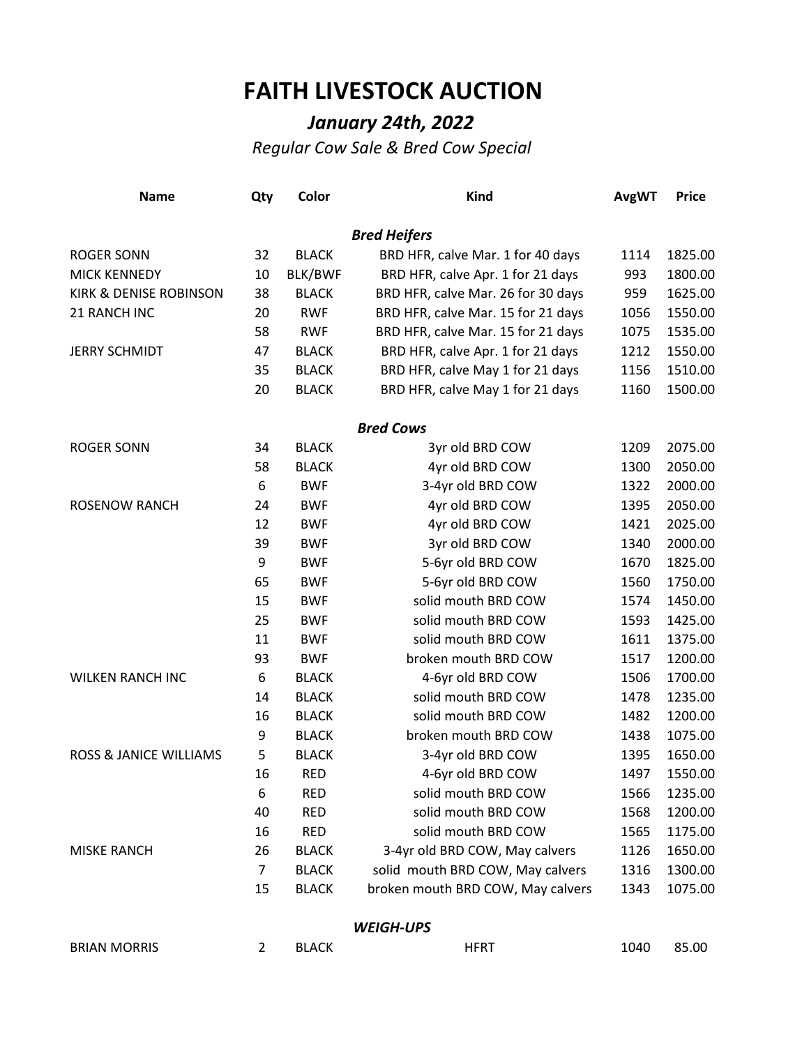## **FAITH LIVESTOCK AUCTION**

## *January 24th, 2022*

*Regular Cow Sale & Bred Cow Special*

| <b>Name</b>                       | Qty            | Color          | <b>Kind</b>                        | <b>AvgWT</b> | <b>Price</b> |
|-----------------------------------|----------------|----------------|------------------------------------|--------------|--------------|
|                                   |                |                | <b>Bred Heifers</b>                |              |              |
| <b>ROGER SONN</b>                 | 32             | <b>BLACK</b>   | BRD HFR, calve Mar. 1 for 40 days  | 1114         | 1825.00      |
| <b>MICK KENNEDY</b>               | 10             | <b>BLK/BWF</b> | BRD HFR, calve Apr. 1 for 21 days  | 993          | 1800.00      |
| <b>KIRK &amp; DENISE ROBINSON</b> | 38             | <b>BLACK</b>   | BRD HFR, calve Mar. 26 for 30 days | 959          | 1625.00      |
| 21 RANCH INC                      | 20             | <b>RWF</b>     | BRD HFR, calve Mar. 15 for 21 days | 1056         | 1550.00      |
|                                   | 58             | <b>RWF</b>     | BRD HFR, calve Mar. 15 for 21 days | 1075         | 1535.00      |
| <b>JERRY SCHMIDT</b>              | 47             | <b>BLACK</b>   | BRD HFR, calve Apr. 1 for 21 days  | 1212         | 1550.00      |
|                                   | 35             | <b>BLACK</b>   | BRD HFR, calve May 1 for 21 days   | 1156         | 1510.00      |
|                                   | 20             | <b>BLACK</b>   | BRD HFR, calve May 1 for 21 days   | 1160         | 1500.00      |
|                                   |                |                | <b>Bred Cows</b>                   |              |              |
| <b>ROGER SONN</b>                 | 34             | <b>BLACK</b>   | 3yr old BRD COW                    | 1209         | 2075.00      |
|                                   | 58             | <b>BLACK</b>   | 4yr old BRD COW                    | 1300         | 2050.00      |
|                                   | 6              | <b>BWF</b>     | 3-4yr old BRD COW                  | 1322         | 2000.00      |
| <b>ROSENOW RANCH</b>              | 24             | <b>BWF</b>     | 4yr old BRD COW                    | 1395         | 2050.00      |
|                                   | 12             | <b>BWF</b>     | 4yr old BRD COW                    | 1421         | 2025.00      |
|                                   | 39             | <b>BWF</b>     | 3yr old BRD COW                    | 1340         | 2000.00      |
|                                   | 9              | <b>BWF</b>     | 5-6yr old BRD COW                  | 1670         | 1825.00      |
|                                   | 65             | <b>BWF</b>     | 5-6yr old BRD COW                  | 1560         | 1750.00      |
|                                   | 15             | <b>BWF</b>     | solid mouth BRD COW                | 1574         | 1450.00      |
|                                   | 25             | <b>BWF</b>     | solid mouth BRD COW                | 1593         | 1425.00      |
|                                   | 11             | <b>BWF</b>     | solid mouth BRD COW                | 1611         | 1375.00      |
|                                   | 93             | <b>BWF</b>     | broken mouth BRD COW               | 1517         | 1200.00      |
| <b>WILKEN RANCH INC</b>           | 6              | <b>BLACK</b>   | 4-6yr old BRD COW                  | 1506         | 1700.00      |
|                                   | 14             | <b>BLACK</b>   | solid mouth BRD COW                | 1478         | 1235.00      |
|                                   | 16             | <b>BLACK</b>   | solid mouth BRD COW                | 1482         | 1200.00      |
|                                   | 9              | <b>BLACK</b>   | broken mouth BRD COW               | 1438         | 1075.00      |
| <b>ROSS &amp; JANICE WILLIAMS</b> | 5              | <b>BLACK</b>   | 3-4yr old BRD COW                  | 1395         | 1650.00      |
|                                   | 16             | <b>RED</b>     | 4-6yr old BRD COW                  | 1497         | 1550.00      |
|                                   | 6              | <b>RED</b>     | solid mouth BRD COW                | 1566         | 1235.00      |
|                                   | 40             | <b>RED</b>     | solid mouth BRD COW                | 1568         | 1200.00      |
|                                   | 16             | <b>RED</b>     | solid mouth BRD COW                | 1565         | 1175.00      |
| <b>MISKE RANCH</b>                | 26             | <b>BLACK</b>   | 3-4yr old BRD COW, May calvers     | 1126         | 1650.00      |
|                                   | $\overline{7}$ | <b>BLACK</b>   | solid mouth BRD COW, May calvers   | 1316         | 1300.00      |
|                                   | 15             | <b>BLACK</b>   | broken mouth BRD COW, May calvers  | 1343         | 1075.00      |
|                                   |                |                | <b>WEIGH-UPS</b>                   |              |              |
| <b>BRIAN MORRIS</b>               | $\overline{2}$ | <b>BLACK</b>   | <b>HFRT</b>                        | 1040         | 85.00        |